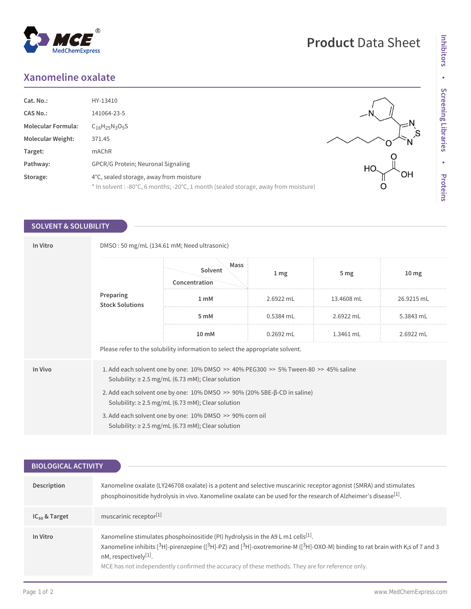## **Xanomeline oxalate**

MedChemExpress

 $^{\circledR}$ 

| Cat. No.:                 | HY-13410                                                                            |    |
|---------------------------|-------------------------------------------------------------------------------------|----|
| <b>CAS No.:</b>           | 141064-23-5                                                                         |    |
| <b>Molecular Formula:</b> | $C_{16}H_{25}N_3O_5S$                                                               |    |
| Molecular Weight:         | 371.45                                                                              |    |
| Target:                   | mAChR                                                                               |    |
| Pathway:                  | GPCR/G Protein; Neuronal Signaling                                                  | HC |
| Storage:                  | 4°C, sealed storage, away from moisture                                             | ЭH |
|                           | * In solvent : -80°C, 6 months; -20°C, 1 month (sealed storage, away from moisture) |    |

## **SOLVENT & SOLUBILITY**

| In Vitro | DMSO: 50 mg/mL (134.61 mM; Need ultrasonic)                                                                                                               |                                  |                 |                 |                  |  |
|----------|-----------------------------------------------------------------------------------------------------------------------------------------------------------|----------------------------------|-----------------|-----------------|------------------|--|
|          | Preparing<br><b>Stock Solutions</b>                                                                                                                       | Mass<br>Solvent<br>Concentration | 1 <sub>mg</sub> | 5 <sub>mg</sub> | 10 <sub>mg</sub> |  |
|          |                                                                                                                                                           | 1 <sub>m</sub> M                 | 2.6922 mL       | 13.4608 mL      | 26.9215 mL       |  |
|          |                                                                                                                                                           | 5 mM                             | 0.5384 mL       | 2.6922 mL       | 5.3843 mL        |  |
|          |                                                                                                                                                           | 10 mM                            | $0.2692$ mL     | $1.3461$ mL     | 2.6922 mL        |  |
|          | Please refer to the solubility information to select the appropriate solvent.                                                                             |                                  |                 |                 |                  |  |
| In Vivo  | 1. Add each solvent one by one: $10\%$ DMSO $\gg$ 40% PEG300 $\gg$ 5% Tween-80 $\gg$ 45% saline<br>Solubility: $\geq$ 2.5 mg/mL (6.73 mM); Clear solution |                                  |                 |                 |                  |  |
|          | 2. Add each solvent one by one: 10% DMSO >> 90% (20% SBE-β-CD in saline)<br>Solubility: $\geq$ 2.5 mg/mL (6.73 mM); Clear solution                        |                                  |                 |                 |                  |  |
|          | 3. Add each solvent one by one: 10% DMSO >> 90% corn oil<br>Solubility: $\geq$ 2.5 mg/mL (6.73 mM); Clear solution                                        |                                  |                 |                 |                  |  |

| <b>BIOLOGICAL ACTIVITY</b> |                                                                                                                                                                                                                                                                                                                                                                                     |  |  |  |
|----------------------------|-------------------------------------------------------------------------------------------------------------------------------------------------------------------------------------------------------------------------------------------------------------------------------------------------------------------------------------------------------------------------------------|--|--|--|
|                            |                                                                                                                                                                                                                                                                                                                                                                                     |  |  |  |
| Description                | Xanomeline oxalate (LY246708 oxalate) is a potent and selective muscarinic receptor agonist (SMRA) and stimulates<br>phosphoinositide hydrolysis in vivo. Xanomeline oxalate can be used for the research of Alzheimer's disease <sup>[1]</sup> .                                                                                                                                   |  |  |  |
| $IC_{50}$ & Target         | muscarinic receptor <sup>[1]</sup>                                                                                                                                                                                                                                                                                                                                                  |  |  |  |
| In Vitro                   | Xanomeline stimulates phosphoinositide (PI) hydrolysis in the A9 L m1 cells <sup>[1]</sup> .<br>Xanomeline inhibits [ $3H$ ]-pirenzepine ( $[3H]$ -PZ) and $[3H]$ -oxotremorine-M ( $[3H]$ -OXO-M) binding to rat brain with K <sub>i</sub> s of 7 and 3<br>nM, respectively[1].<br>MCE has not independently confirmed the accuracy of these methods. They are for reference only. |  |  |  |

## **Product** Data Sheet